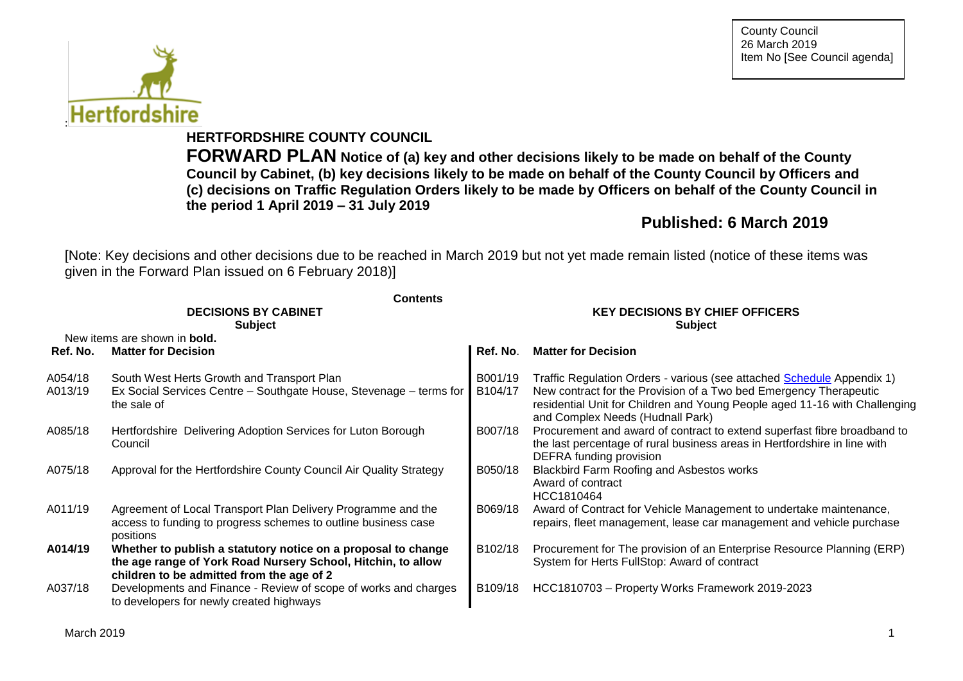

**HERTFORDSHIRE COUNTY COUNCIL**

**FORWARD PLAN Notice of (a) key and other decisions likely to be made on behalf of the County Council by Cabinet, (b) key decisions likely to be made on behalf of the County Council by Officers and (c) decisions on Traffic Regulation Orders likely to be made by Officers on behalf of the County Council in the period 1 April 2019 – 31 July 2019**

# **Published: 6 March 2019**

[Note: Key decisions and other decisions due to be reached in March 2019 but not yet made remain listed (notice of these items was given in the Forward Plan issued on 6 February 2018)]

|                    | <b>Contents</b>                                                                                                                                                            |                                        |                                                                                                                                                                                                                                                               |  |  |  |
|--------------------|----------------------------------------------------------------------------------------------------------------------------------------------------------------------------|----------------------------------------|---------------------------------------------------------------------------------------------------------------------------------------------------------------------------------------------------------------------------------------------------------------|--|--|--|
|                    | <b>DECISIONS BY CABINET</b>                                                                                                                                                | <b>KEY DECISIONS BY CHIEF OFFICERS</b> |                                                                                                                                                                                                                                                               |  |  |  |
|                    | <b>Subject</b>                                                                                                                                                             | <b>Subject</b>                         |                                                                                                                                                                                                                                                               |  |  |  |
|                    | New items are shown in <b>bold.</b>                                                                                                                                        |                                        |                                                                                                                                                                                                                                                               |  |  |  |
| Ref. No.           | <b>Matter for Decision</b>                                                                                                                                                 | Ref. No.                               | <b>Matter for Decision</b>                                                                                                                                                                                                                                    |  |  |  |
| A054/18<br>A013/19 | South West Herts Growth and Transport Plan<br>Ex Social Services Centre – Southgate House, Stevenage – terms for<br>the sale of                                            | B001/19<br>B104/17                     | Traffic Regulation Orders - various (see attached Schedule Appendix 1)<br>New contract for the Provision of a Two bed Emergency Therapeutic<br>residential Unit for Children and Young People aged 11-16 with Challenging<br>and Complex Needs (Hudnall Park) |  |  |  |
| A085/18            | Hertfordshire Delivering Adoption Services for Luton Borough<br>Council                                                                                                    | B007/18                                | Procurement and award of contract to extend superfast fibre broadband to<br>the last percentage of rural business areas in Hertfordshire in line with<br>DEFRA funding provision                                                                              |  |  |  |
| A075/18            | Approval for the Hertfordshire County Council Air Quality Strategy                                                                                                         | B050/18                                | Blackbird Farm Roofing and Asbestos works<br>Award of contract<br>HCC1810464                                                                                                                                                                                  |  |  |  |
| A011/19            | Agreement of Local Transport Plan Delivery Programme and the<br>access to funding to progress schemes to outline business case<br>positions                                | B069/18                                | Award of Contract for Vehicle Management to undertake maintenance,<br>repairs, fleet management, lease car management and vehicle purchase                                                                                                                    |  |  |  |
| A014/19            | Whether to publish a statutory notice on a proposal to change<br>the age range of York Road Nursery School, Hitchin, to allow<br>children to be admitted from the age of 2 | B <sub>102</sub> /18                   | Procurement for The provision of an Enterprise Resource Planning (ERP)<br>System for Herts FullStop: Award of contract                                                                                                                                        |  |  |  |
| A037/18            | Developments and Finance - Review of scope of works and charges<br>to developers for newly created highways                                                                | B109/18                                | HCC1810703 - Property Works Framework 2019-2023                                                                                                                                                                                                               |  |  |  |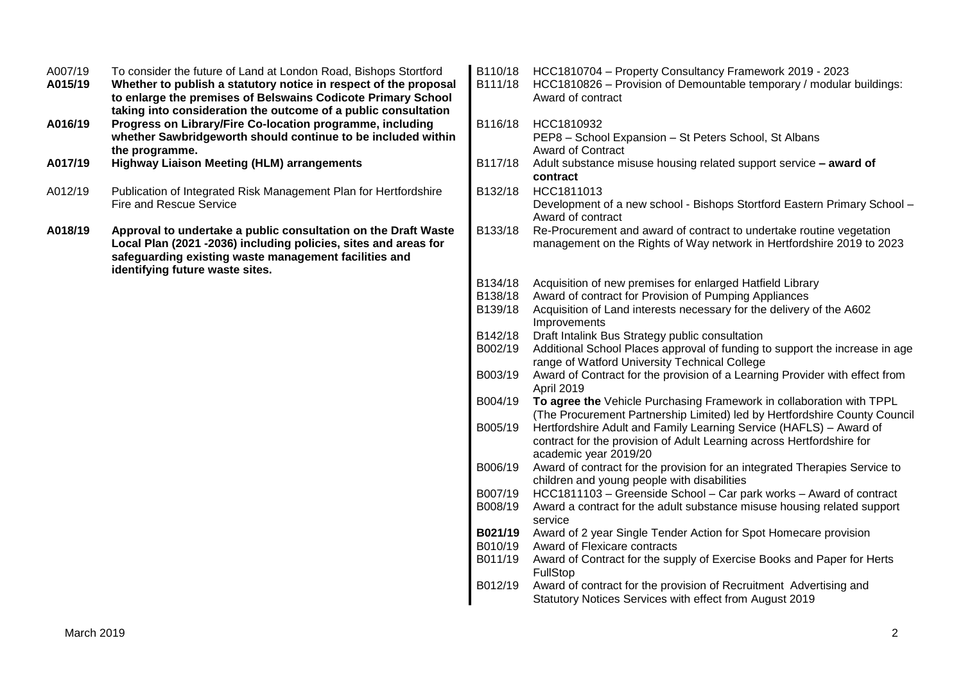| taking into consideration the outcome of a public consultation<br>A016/19<br>Progress on Library/Fire Co-location programme, including<br>HCC1810932<br>B116/18<br>whether Sawbridgeworth should continue to be included within<br>PEP8 - School Expansion - St Peters School, St Albans<br>the programme.<br><b>Award of Contract</b><br>A017/19<br><b>Highway Liaison Meeting (HLM) arrangements</b><br>B117/18<br>Adult substance misuse housing related support service - award of<br>contract<br>HCC1811013<br>A012/19<br>Publication of Integrated Risk Management Plan for Hertfordshire<br>B132/18<br>Fire and Rescue Service<br>Development of a new school - Bishops Stortford Eastern Primary School - |
|-------------------------------------------------------------------------------------------------------------------------------------------------------------------------------------------------------------------------------------------------------------------------------------------------------------------------------------------------------------------------------------------------------------------------------------------------------------------------------------------------------------------------------------------------------------------------------------------------------------------------------------------------------------------------------------------------------------------|
|                                                                                                                                                                                                                                                                                                                                                                                                                                                                                                                                                                                                                                                                                                                   |
|                                                                                                                                                                                                                                                                                                                                                                                                                                                                                                                                                                                                                                                                                                                   |
| Award of contract                                                                                                                                                                                                                                                                                                                                                                                                                                                                                                                                                                                                                                                                                                 |
| A018/19<br>Approval to undertake a public consultation on the Draft Waste<br>B133/18<br>Re-Procurement and award of contract to undertake routine vegetation<br>Local Plan (2021 -2036) including policies, sites and areas for<br>management on the Rights of Way network in Hertfordshire 2019 to 2023<br>safeguarding existing waste management facilities and<br>identifying future waste sites.                                                                                                                                                                                                                                                                                                              |
| Acquisition of new premises for enlarged Hatfield Library<br>B134/18                                                                                                                                                                                                                                                                                                                                                                                                                                                                                                                                                                                                                                              |
| Award of contract for Provision of Pumping Appliances<br>B138/18                                                                                                                                                                                                                                                                                                                                                                                                                                                                                                                                                                                                                                                  |
| B139/18<br>Acquisition of Land interests necessary for the delivery of the A602<br>Improvements                                                                                                                                                                                                                                                                                                                                                                                                                                                                                                                                                                                                                   |
| Draft Intalink Bus Strategy public consultation<br>B142/18                                                                                                                                                                                                                                                                                                                                                                                                                                                                                                                                                                                                                                                        |
| B002/19<br>Additional School Places approval of funding to support the increase in age<br>range of Watford University Technical College                                                                                                                                                                                                                                                                                                                                                                                                                                                                                                                                                                           |
| Award of Contract for the provision of a Learning Provider with effect from<br>B003/19<br>April 2019                                                                                                                                                                                                                                                                                                                                                                                                                                                                                                                                                                                                              |
| To agree the Vehicle Purchasing Framework in collaboration with TPPL<br>B004/19<br>(The Procurement Partnership Limited) led by Hertfordshire County Council                                                                                                                                                                                                                                                                                                                                                                                                                                                                                                                                                      |
| B005/19<br>Hertfordshire Adult and Family Learning Service (HAFLS) - Award of<br>contract for the provision of Adult Learning across Hertfordshire for<br>academic year 2019/20                                                                                                                                                                                                                                                                                                                                                                                                                                                                                                                                   |
| B006/19<br>Award of contract for the provision for an integrated Therapies Service to<br>children and young people with disabilities                                                                                                                                                                                                                                                                                                                                                                                                                                                                                                                                                                              |
| HCC1811103 - Greenside School - Car park works - Award of contract<br>B007/19                                                                                                                                                                                                                                                                                                                                                                                                                                                                                                                                                                                                                                     |
| Award a contract for the adult substance misuse housing related support<br>B008/19<br>service                                                                                                                                                                                                                                                                                                                                                                                                                                                                                                                                                                                                                     |
| B021/19<br>Award of 2 year Single Tender Action for Spot Homecare provision                                                                                                                                                                                                                                                                                                                                                                                                                                                                                                                                                                                                                                       |
| B010/19<br>Award of Flexicare contracts                                                                                                                                                                                                                                                                                                                                                                                                                                                                                                                                                                                                                                                                           |
| B011/19<br>Award of Contract for the supply of Exercise Books and Paper for Herts<br>FullStop                                                                                                                                                                                                                                                                                                                                                                                                                                                                                                                                                                                                                     |
| B012/19<br>Award of contract for the provision of Recruitment Advertising and<br>Statutory Notices Services with effect from August 2019                                                                                                                                                                                                                                                                                                                                                                                                                                                                                                                                                                          |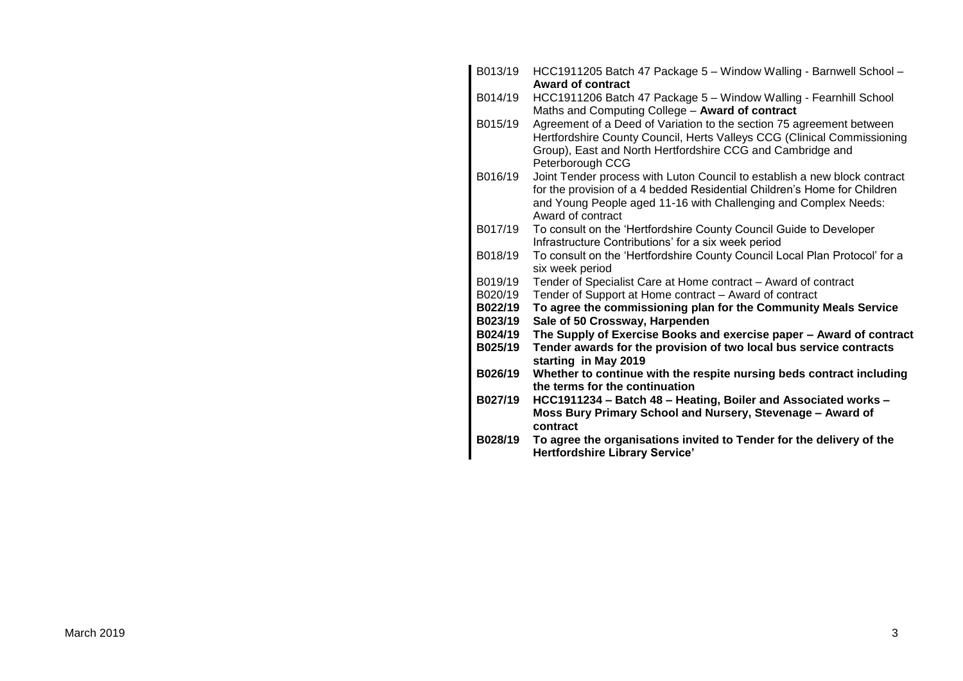| B013/19 | HCC1911205 Batch 47 Package 5 - Window Walling - Barnwell School -<br>Award of contract                                                                                                                                                       |
|---------|-----------------------------------------------------------------------------------------------------------------------------------------------------------------------------------------------------------------------------------------------|
| B014/19 | HCC1911206 Batch 47 Package 5 - Window Walling - Fearnhill School<br>Maths and Computing College - Award of contract                                                                                                                          |
| B015/19 | Agreement of a Deed of Variation to the section 75 agreement between<br>Hertfordshire County Council, Herts Valleys CCG (Clinical Commissioning<br>Group), East and North Hertfordshire CCG and Cambridge and<br>Peterborough CCG             |
| B016/19 | Joint Tender process with Luton Council to establish a new block contract<br>for the provision of a 4 bedded Residential Children's Home for Children<br>and Young People aged 11-16 with Challenging and Complex Needs:<br>Award of contract |
| B017/19 | To consult on the 'Hertfordshire County Council Guide to Developer<br>Infrastructure Contributions' for a six week period                                                                                                                     |
| B018/19 | To consult on the 'Hertfordshire County Council Local Plan Protocol' for a<br>six week period                                                                                                                                                 |
| B019/19 | Tender of Specialist Care at Home contract - Award of contract                                                                                                                                                                                |
| B020/19 | Tender of Support at Home contract - Award of contract                                                                                                                                                                                        |
| B022/19 | To agree the commissioning plan for the Community Meals Service                                                                                                                                                                               |
| B023/19 | Sale of 50 Crossway, Harpenden                                                                                                                                                                                                                |
| B024/19 | The Supply of Exercise Books and exercise paper - Award of contract                                                                                                                                                                           |
| B025/19 | Tender awards for the provision of two local bus service contracts<br>starting in May 2019                                                                                                                                                    |
| B026/19 | Whether to continue with the respite nursing beds contract including                                                                                                                                                                          |
|         | the terms for the continuation                                                                                                                                                                                                                |
| B027/19 | HCC1911234 - Batch 48 - Heating, Boiler and Associated works -<br>Moss Bury Primary School and Nursery, Stevenage - Award of<br>contract                                                                                                      |
| B028/19 | To agree the organisations invited to Tender for the delivery of the<br><b>Hertfordshire Library Service'</b>                                                                                                                                 |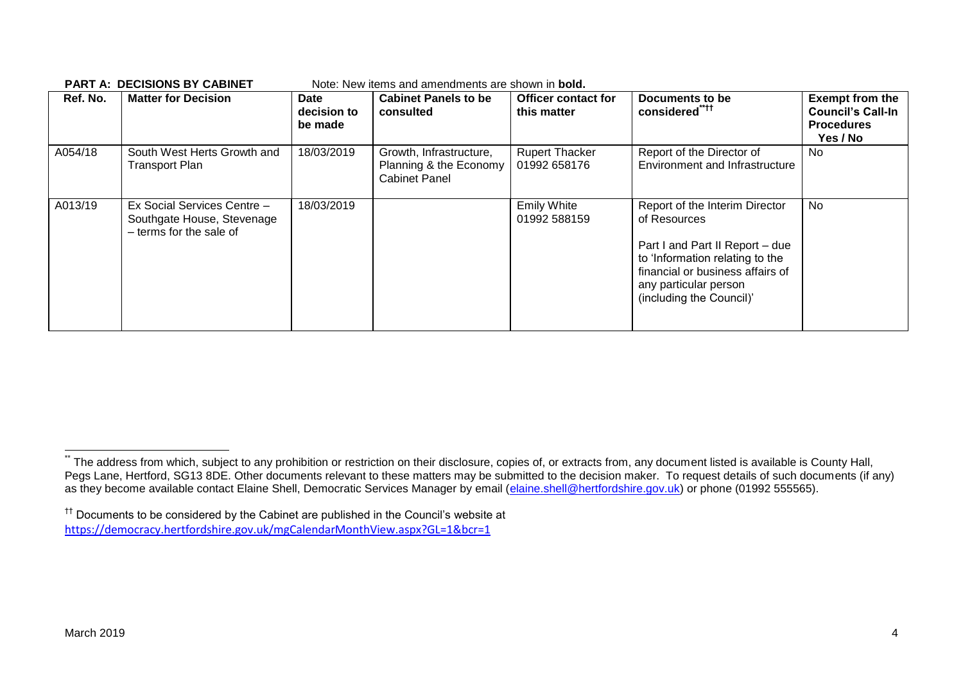| Ref. No. | <b>Matter for Decision</b>                                                           | <b>Date</b><br>decision to<br>be made | <b>Cabinet Panels to be</b><br>consulted                                  | <b>Officer contact for</b><br>this matter | Documents to be<br>considered <sup>"***</sup>                                                                                                                                                                 | <b>Exempt from the</b><br><b>Council's Call-In</b><br><b>Procedures</b><br>Yes / No |
|----------|--------------------------------------------------------------------------------------|---------------------------------------|---------------------------------------------------------------------------|-------------------------------------------|---------------------------------------------------------------------------------------------------------------------------------------------------------------------------------------------------------------|-------------------------------------------------------------------------------------|
| A054/18  | South West Herts Growth and<br><b>Transport Plan</b>                                 | 18/03/2019                            | Growth, Infrastructure,<br>Planning & the Economy<br><b>Cabinet Panel</b> | <b>Rupert Thacker</b><br>01992 658176     | Report of the Director of<br>Environment and Infrastructure                                                                                                                                                   | No.                                                                                 |
| A013/19  | Ex Social Services Centre -<br>Southgate House, Stevenage<br>- terms for the sale of | 18/03/2019                            |                                                                           | <b>Emily White</b><br>01992 588159        | Report of the Interim Director<br>of Resources<br>Part I and Part II Report - due<br>to 'Information relating to the<br>financial or business affairs of<br>any particular person<br>(including the Council)' | No                                                                                  |

#### **PART A: DECISIONS BY CABINET** Note: New items and amendments are shown in **bold.**

1

The address from which, subject to any prohibition or restriction on their disclosure, copies of, or extracts from, any document listed is available is County Hall, Pegs Lane, Hertford, SG13 8DE. Other documents relevant to these matters may be submitted to the decision maker. To request details of such documents (if any) as they become available contact Elaine Shell, Democratic Services Manager by email [\(elaine.shell@hertfordshire.gov.uk\)](mailto:elaine.shell@hertfordshire.gov.uk) or phone (01992 555565).

<sup>††</sup> Documents to be considered by the Cabinet are published in the Council's website at <https://democracy.hertfordshire.gov.uk/mgCalendarMonthView.aspx?GL=1&bcr=1>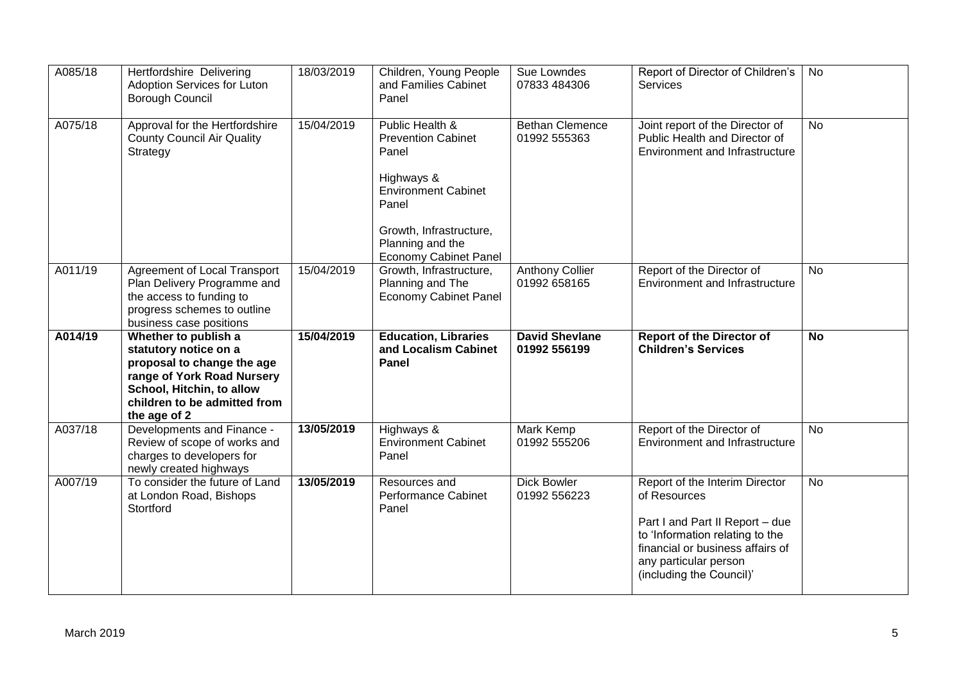| A085/18 | Hertfordshire Delivering<br>Adoption Services for Luton<br><b>Borough Council</b>                                                                                                      | 18/03/2019               | Children, Young People<br>and Families Cabinet<br>Panel                                                                                                                                   | Sue Lowndes<br>07833 484306            | Report of Director of Children's<br>Services                                                              | No        |
|---------|----------------------------------------------------------------------------------------------------------------------------------------------------------------------------------------|--------------------------|-------------------------------------------------------------------------------------------------------------------------------------------------------------------------------------------|----------------------------------------|-----------------------------------------------------------------------------------------------------------|-----------|
| A075/18 | Approval for the Hertfordshire<br><b>County Council Air Quality</b><br>Strategy                                                                                                        | 15/04/2019               | Public Health &<br><b>Prevention Cabinet</b><br>Panel<br>Highways &<br><b>Environment Cabinet</b><br>Panel<br>Growth, Infrastructure,<br>Planning and the<br><b>Economy Cabinet Panel</b> | <b>Bethan Clemence</b><br>01992 555363 | Joint report of the Director of<br>Public Health and Director of<br><b>Environment and Infrastructure</b> | <b>No</b> |
| A011/19 | Agreement of Local Transport<br>Plan Delivery Programme and<br>the access to funding to<br>progress schemes to outline<br>business case positions                                      | 15/04/2019               | Growth, Infrastructure,<br>Planning and The<br><b>Economy Cabinet Panel</b>                                                                                                               | <b>Anthony Collier</b><br>01992 658165 | Report of the Director of<br><b>Environment and Infrastructure</b>                                        | <b>No</b> |
|         |                                                                                                                                                                                        |                          |                                                                                                                                                                                           |                                        |                                                                                                           |           |
| A014/19 | Whether to publish a<br>statutory notice on a<br>proposal to change the age<br>range of York Road Nursery<br>School, Hitchin, to allow<br>children to be admitted from<br>the age of 2 | 15/04/2019               | <b>Education, Libraries</b><br>and Localism Cabinet<br>Panel                                                                                                                              | <b>David Shevlane</b><br>01992 556199  | <b>Report of the Director of</b><br><b>Children's Services</b>                                            | <b>No</b> |
| A037/18 | Developments and Finance -<br>Review of scope of works and<br>charges to developers for<br>newly created highways                                                                      | 13/05/2019<br>13/05/2019 | Highways &<br><b>Environment Cabinet</b><br>Panel                                                                                                                                         | Mark Kemp<br>01992 555206              | Report of the Director of<br><b>Environment and Infrastructure</b>                                        | <b>No</b> |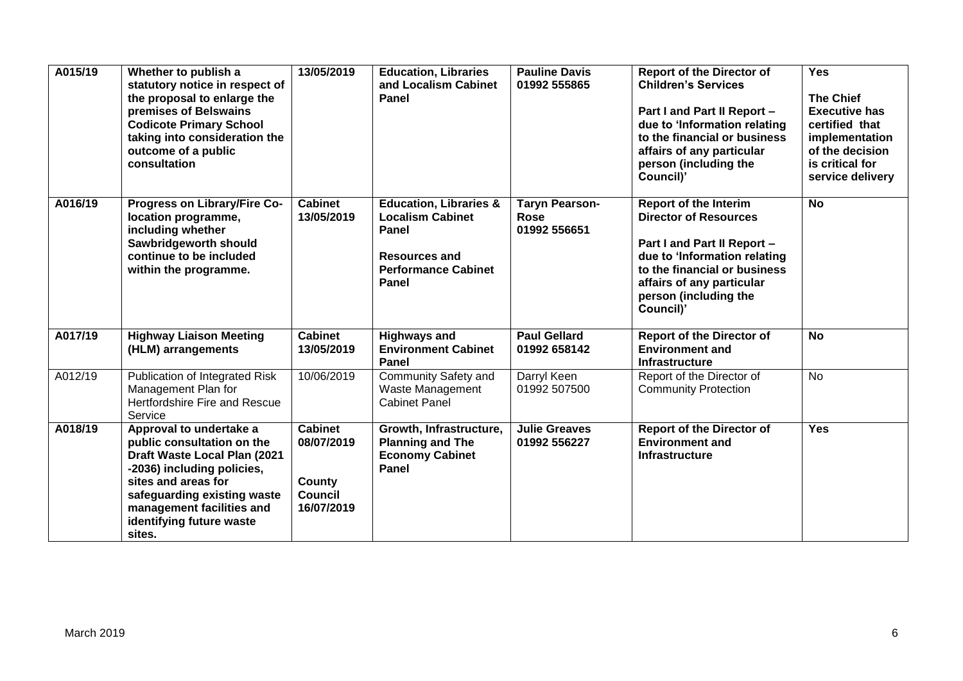| A015/19 | Whether to publish a<br>statutory notice in respect of<br>the proposal to enlarge the<br>premises of Belswains<br><b>Codicote Primary School</b><br>taking into consideration the<br>outcome of a public<br>consultation                     | 13/05/2019                                                             | <b>Education, Libraries</b><br>and Localism Cabinet<br><b>Panel</b>                                                                  | <b>Pauline Davis</b><br>01992 555865                 | <b>Report of the Director of</b><br><b>Children's Services</b><br>Part I and Part II Report -<br>due to 'Information relating<br>to the financial or business<br>affairs of any particular<br>person (including the<br>Council)' | <b>Yes</b><br><b>The Chief</b><br><b>Executive has</b><br>certified that<br>implementation<br>of the decision<br>is critical for<br>service delivery |
|---------|----------------------------------------------------------------------------------------------------------------------------------------------------------------------------------------------------------------------------------------------|------------------------------------------------------------------------|--------------------------------------------------------------------------------------------------------------------------------------|------------------------------------------------------|----------------------------------------------------------------------------------------------------------------------------------------------------------------------------------------------------------------------------------|------------------------------------------------------------------------------------------------------------------------------------------------------|
| A016/19 | Progress on Library/Fire Co-<br>location programme,<br>including whether<br>Sawbridgeworth should<br>continue to be included<br>within the programme.                                                                                        | <b>Cabinet</b><br>13/05/2019                                           | <b>Education, Libraries &amp;</b><br><b>Localism Cabinet</b><br>Panel<br><b>Resources and</b><br><b>Performance Cabinet</b><br>Panel | <b>Taryn Pearson-</b><br><b>Rose</b><br>01992 556651 | <b>Report of the Interim</b><br><b>Director of Resources</b><br>Part I and Part II Report -<br>due to 'Information relating<br>to the financial or business<br>affairs of any particular<br>person (including the<br>Council)'   | <b>No</b>                                                                                                                                            |
| A017/19 | <b>Highway Liaison Meeting</b><br>(HLM) arrangements                                                                                                                                                                                         | <b>Cabinet</b><br>13/05/2019                                           | <b>Highways and</b><br><b>Environment Cabinet</b><br>Panel                                                                           | <b>Paul Gellard</b><br>01992 658142                  | <b>Report of the Director of</b><br><b>Environment and</b><br><b>Infrastructure</b>                                                                                                                                              | <b>No</b>                                                                                                                                            |
| A012/19 | Publication of Integrated Risk<br>Management Plan for<br><b>Hertfordshire Fire and Rescue</b><br>Service                                                                                                                                     | 10/06/2019                                                             | Community Safety and<br>Waste Management<br><b>Cabinet Panel</b>                                                                     | Darryl Keen<br>01992 507500                          | Report of the Director of<br><b>Community Protection</b>                                                                                                                                                                         | No                                                                                                                                                   |
| A018/19 | Approval to undertake a<br>public consultation on the<br>Draft Waste Local Plan (2021<br>-2036) including policies,<br>sites and areas for<br>safeguarding existing waste<br>management facilities and<br>identifying future waste<br>sites. | <b>Cabinet</b><br>08/07/2019<br>County<br><b>Council</b><br>16/07/2019 | Growth, Infrastructure,<br><b>Planning and The</b><br><b>Economy Cabinet</b><br>Panel                                                | <b>Julie Greaves</b><br>01992 556227                 | <b>Report of the Director of</b><br><b>Environment and</b><br><b>Infrastructure</b>                                                                                                                                              | <b>Yes</b>                                                                                                                                           |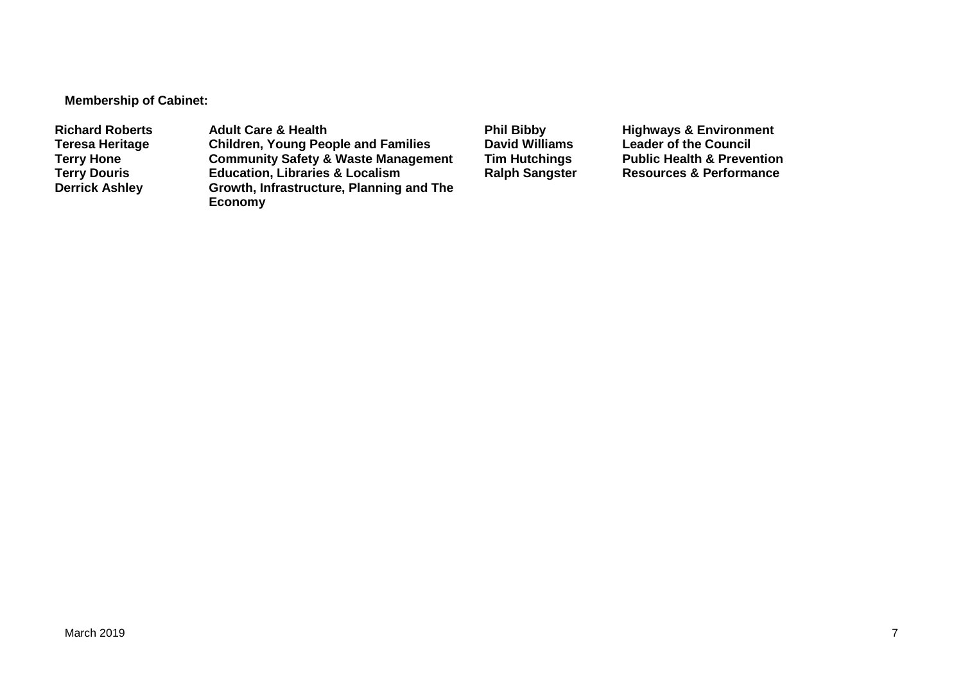**Membership of Cabinet:** 

Richard Roberts **Adult Care & Health Phil Bibby** Phil Bibby Highways & Environment<br>
Teresa Heritage Children, Young People and Families David Williams Leader of the Council **Teresa Heritage Children, Young People and Families David Williams Leader of the Council Terry Hone Community Safety & Waste Management Tim Hutchings** Public Health & Prevention<br> **Terry Douris Education, Libraries & Localism** Ralph Sangster Resources & Performance **Terry Douris <b>Education, Libraries & Localism**<br> **Derrick Ashley** Growth, Infrastructure, Planning **Growth, Infrastructure, Planning and The Economy**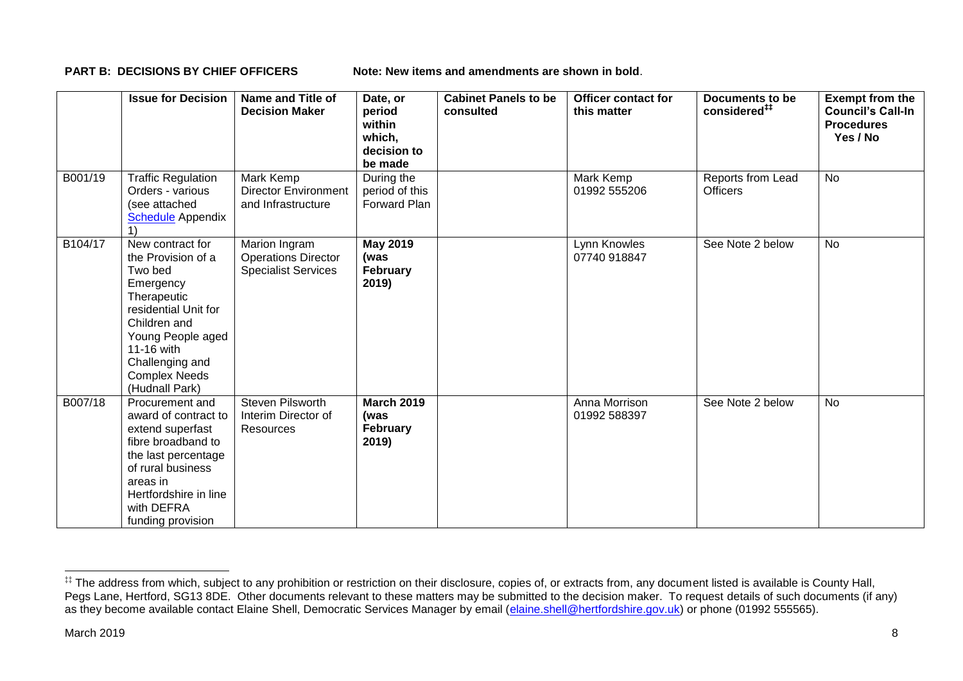**PART B: DECISIONS BY CHIEF OFFICERS Note: New items and amendments are shown in bold.** 

|         | <b>Issue for Decision</b>                                                                                                                                                                                             | Name and Title of<br><b>Decision Maker</b>                                | Date, or<br>period<br>within<br>which,<br>decision to<br>be made | <b>Cabinet Panels to be</b><br>consulted | <b>Officer contact for</b><br>this matter | Documents to be<br>considered <sup>##</sup> | <b>Exempt from the</b><br><b>Council's Call-In</b><br><b>Procedures</b><br>Yes / No |
|---------|-----------------------------------------------------------------------------------------------------------------------------------------------------------------------------------------------------------------------|---------------------------------------------------------------------------|------------------------------------------------------------------|------------------------------------------|-------------------------------------------|---------------------------------------------|-------------------------------------------------------------------------------------|
| B001/19 | <b>Traffic Regulation</b><br>Orders - various<br>(see attached<br><b>Schedule</b> Appendix                                                                                                                            | Mark Kemp<br><b>Director Environment</b><br>and Infrastructure            | During the<br>period of this<br>Forward Plan                     |                                          | Mark Kemp<br>01992 555206                 | Reports from Lead<br><b>Officers</b>        | <b>No</b>                                                                           |
| B104/17 | New contract for<br>the Provision of a<br>Two bed<br>Emergency<br>Therapeutic<br>residential Unit for<br>Children and<br>Young People aged<br>11-16 with<br>Challenging and<br><b>Complex Needs</b><br>(Hudnall Park) | Marion Ingram<br><b>Operations Director</b><br><b>Specialist Services</b> | <b>May 2019</b><br>(was<br>February<br>2019)                     |                                          | Lynn Knowles<br>07740 918847              | See Note 2 below                            | No                                                                                  |
| B007/18 | Procurement and<br>award of contract to<br>extend superfast<br>fibre broadband to<br>the last percentage<br>of rural business<br>areas in<br>Hertfordshire in line<br>with DEFRA<br>funding provision                 | <b>Steven Pilsworth</b><br>Interim Director of<br>Resources               | <b>March 2019</b><br>(was<br>February<br>2019)                   |                                          | Anna Morrison<br>01992 588397             | See Note 2 below                            | <b>No</b>                                                                           |

1

<sup>‡‡</sup> The address from which, subject to any prohibition or restriction on their disclosure, copies of, or extracts from, any document listed is available is County Hall, Pegs Lane, Hertford, SG13 8DE. Other documents relevant to these matters may be submitted to the decision maker. To request details of such documents (if any) as they become available contact Elaine Shell, Democratic Services Manager by email [\(elaine.shell@hertfordshire.gov.uk\)](mailto:elaine.shell@hertfordshire.gov.uk) or phone (01992 55565).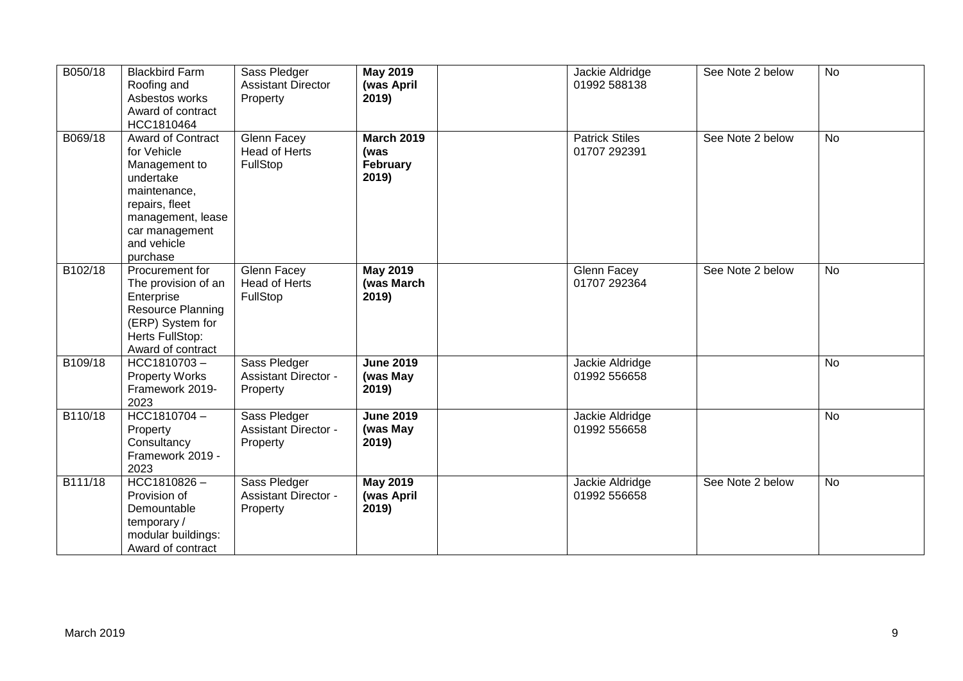| B050/18 | <b>Blackbird Farm</b><br>Roofing and<br>Asbestos works<br>Award of contract<br>HCC1810464                                                                          | Sass Pledger<br><b>Assistant Director</b><br>Property   | <b>May 2019</b><br>(was April<br>2019)         | Jackie Aldridge<br>01992 588138       | See Note 2 below | <b>No</b> |
|---------|--------------------------------------------------------------------------------------------------------------------------------------------------------------------|---------------------------------------------------------|------------------------------------------------|---------------------------------------|------------------|-----------|
| B069/18 | Award of Contract<br>for Vehicle<br>Management to<br>undertake<br>maintenance,<br>repairs, fleet<br>management, lease<br>car management<br>and vehicle<br>purchase | <b>Glenn Facey</b><br>Head of Herts<br>FullStop         | <b>March 2019</b><br>(was<br>February<br>2019) | <b>Patrick Stiles</b><br>01707 292391 | See Note 2 below | <b>No</b> |
| B102/18 | Procurement for<br>The provision of an<br>Enterprise<br>Resource Planning<br>(ERP) System for<br>Herts FullStop:<br>Award of contract                              | Glenn Facey<br>Head of Herts<br>FullStop                | <b>May 2019</b><br>(was March<br>2019)         | Glenn Facey<br>01707 292364           | See Note 2 below | <b>No</b> |
| B109/18 | HCC1810703-<br><b>Property Works</b><br>Framework 2019-<br>2023                                                                                                    | Sass Pledger<br><b>Assistant Director -</b><br>Property | <b>June 2019</b><br>(was May<br>2019)          | Jackie Aldridge<br>01992 556658       |                  | <b>No</b> |
| B110/18 | HCC1810704-<br>Property<br>Consultancy<br>Framework 2019 -<br>2023                                                                                                 | Sass Pledger<br><b>Assistant Director -</b><br>Property | <b>June 2019</b><br>(was May<br>2019)          | Jackie Aldridge<br>01992 556658       |                  | <b>No</b> |
| B111/18 | HCC1810826-<br>Provision of<br>Demountable<br>temporary/<br>modular buildings:<br>Award of contract                                                                | Sass Pledger<br><b>Assistant Director -</b><br>Property | <b>May 2019</b><br>(was April<br>2019)         | Jackie Aldridge<br>01992 556658       | See Note 2 below | <b>No</b> |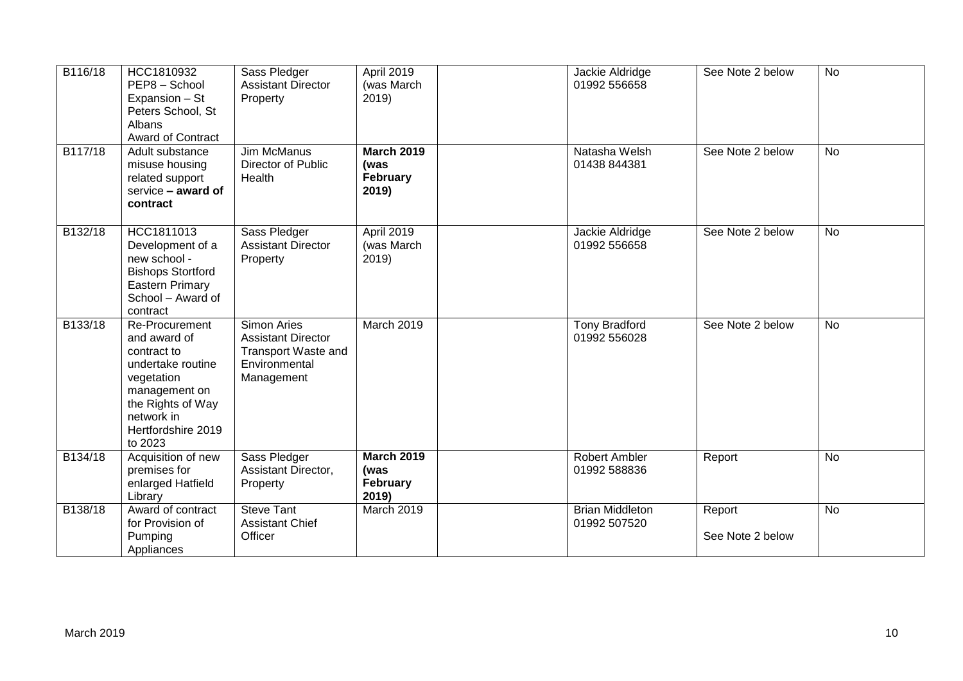| B116/18 | HCC1810932<br>PEP8 - School<br>Expansion - St<br>Peters School, St<br>Albans<br><b>Award of Contract</b>                                                              | Sass Pledger<br><b>Assistant Director</b><br>Property                                                        | April 2019<br>(was March<br>2019)                     | Jackie Aldridge<br>01992 556658        | See Note 2 below           | <b>No</b> |
|---------|-----------------------------------------------------------------------------------------------------------------------------------------------------------------------|--------------------------------------------------------------------------------------------------------------|-------------------------------------------------------|----------------------------------------|----------------------------|-----------|
| B117/18 | Adult substance<br>misuse housing<br>related support<br>service - award of<br>contract                                                                                | <b>Jim McManus</b><br>Director of Public<br>Health                                                           | <b>March 2019</b><br>(was<br><b>February</b><br>2019) | Natasha Welsh<br>01438 844381          | See Note 2 below           | <b>No</b> |
| B132/18 | HCC1811013<br>Development of a<br>new school -<br><b>Bishops Stortford</b><br><b>Eastern Primary</b><br>School - Award of<br>contract                                 | Sass Pledger<br><b>Assistant Director</b><br>Property                                                        | April 2019<br>(was March<br>2019)                     | Jackie Aldridge<br>01992 556658        | See Note 2 below           | <b>No</b> |
| B133/18 | Re-Procurement<br>and award of<br>contract to<br>undertake routine<br>vegetation<br>management on<br>the Rights of Way<br>network in<br>Hertfordshire 2019<br>to 2023 | <b>Simon Aries</b><br><b>Assistant Director</b><br><b>Transport Waste and</b><br>Environmental<br>Management | March 2019                                            | <b>Tony Bradford</b><br>01992 556028   | See Note 2 below           | <b>No</b> |
| B134/18 | Acquisition of new<br>premises for<br>enlarged Hatfield<br>Library                                                                                                    | Sass Pledger<br>Assistant Director,<br>Property                                                              | <b>March 2019</b><br>(was<br>February<br>2019)        | <b>Robert Ambler</b><br>01992 588836   | Report                     | <b>No</b> |
| B138/18 | Award of contract<br>for Provision of<br>Pumping<br>Appliances                                                                                                        | <b>Steve Tant</b><br><b>Assistant Chief</b><br>Officer                                                       | March 2019                                            | <b>Brian Middleton</b><br>01992 507520 | Report<br>See Note 2 below | <b>No</b> |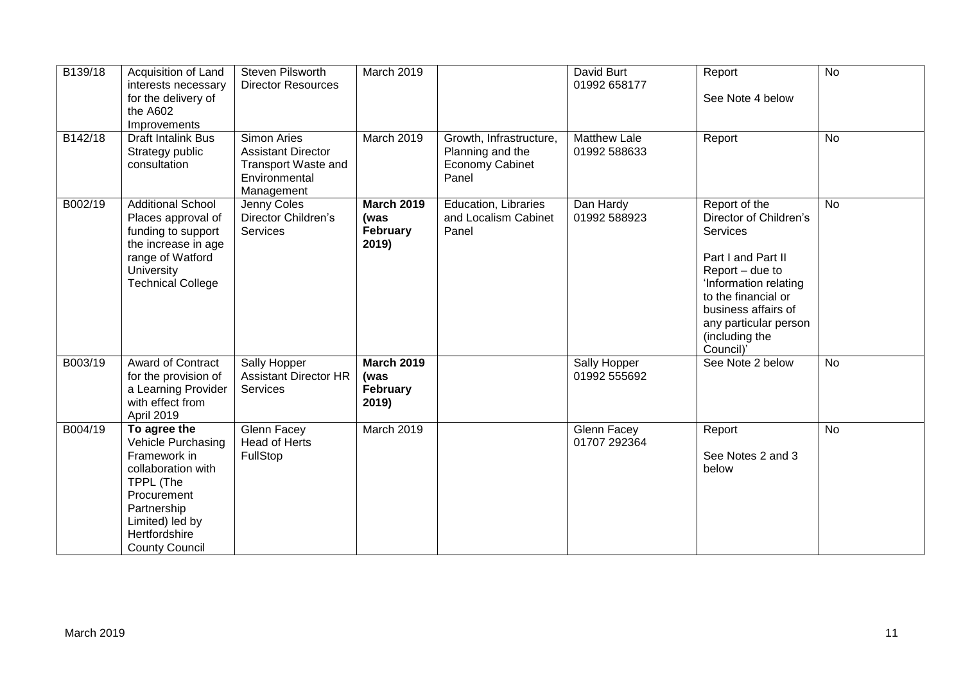| B <sub>139</sub> /18 | Acquisition of Land<br>interests necessary<br>for the delivery of<br>the A602<br>Improvements                                                                                           | Steven Pilsworth<br><b>Director Resources</b>                                                         | March 2019                                     |                                                                         | David Burt<br>01992 658177          | Report<br>See Note 4 below                                                                                                                                                                                                         | $\overline{N}$ |
|----------------------|-----------------------------------------------------------------------------------------------------------------------------------------------------------------------------------------|-------------------------------------------------------------------------------------------------------|------------------------------------------------|-------------------------------------------------------------------------|-------------------------------------|------------------------------------------------------------------------------------------------------------------------------------------------------------------------------------------------------------------------------------|----------------|
| B142/18              | Draft Intalink Bus<br>Strategy public<br>consultation                                                                                                                                   | <b>Simon Aries</b><br><b>Assistant Director</b><br>Transport Waste and<br>Environmental<br>Management | March 2019                                     | Growth, Infrastructure,<br>Planning and the<br>Economy Cabinet<br>Panel | <b>Matthew Lale</b><br>01992 588633 | Report                                                                                                                                                                                                                             | <b>No</b>      |
| B002/19              | <b>Additional School</b><br>Places approval of<br>funding to support<br>the increase in age<br>range of Watford<br>University<br><b>Technical College</b>                               | Jenny Coles<br>Director Children's<br>Services                                                        | <b>March 2019</b><br>(was<br>February<br>2019) | <b>Education, Libraries</b><br>and Localism Cabinet<br>Panel            | Dan Hardy<br>01992 588923           | Report of the<br>Director of Children's<br><b>Services</b><br>Part I and Part II<br>Report – due to<br>'Information relating<br>to the financial or<br>business affairs of<br>any particular person<br>(including the<br>Council)' | <b>No</b>      |
| B003/19              | Award of Contract<br>for the provision of<br>a Learning Provider<br>with effect from<br>April 2019                                                                                      | Sally Hopper<br><b>Assistant Director HR</b><br>Services                                              | <b>March 2019</b><br>(was<br>February<br>2019) |                                                                         | Sally Hopper<br>01992 555692        | See Note 2 below                                                                                                                                                                                                                   | <b>No</b>      |
| B004/19              | To agree the<br><b>Vehicle Purchasing</b><br>Framework in<br>collaboration with<br>TPPL (The<br>Procurement<br>Partnership<br>Limited) led by<br>Hertfordshire<br><b>County Council</b> | Glenn Facey<br>Head of Herts<br>FullStop                                                              | March 2019                                     |                                                                         | Glenn Facey<br>01707 292364         | Report<br>See Notes 2 and 3<br>below                                                                                                                                                                                               | <b>No</b>      |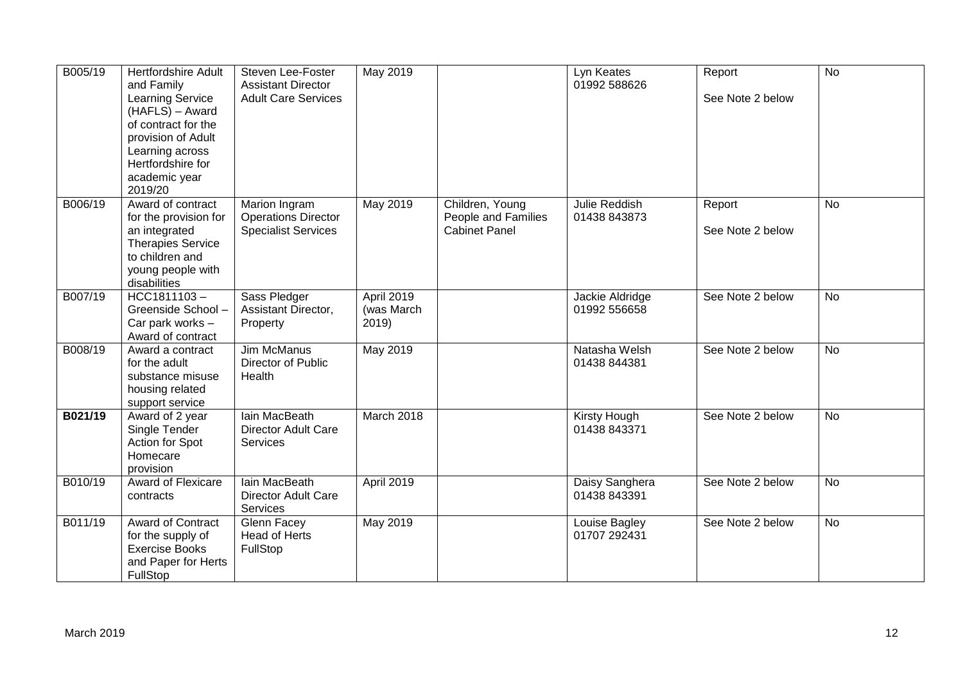| B005/19 | <b>Hertfordshire Adult</b><br>and Family<br><b>Learning Service</b><br>(HAFLS) - Award<br>of contract for the<br>provision of Adult<br>Learning across<br>Hertfordshire for<br>academic year<br>2019/20 | Steven Lee-Foster<br><b>Assistant Director</b><br><b>Adult Care Services</b> | May 2019                          |                                                                | Lyn Keates<br>01992 588626          | Report<br>See Note 2 below | <b>No</b>      |
|---------|---------------------------------------------------------------------------------------------------------------------------------------------------------------------------------------------------------|------------------------------------------------------------------------------|-----------------------------------|----------------------------------------------------------------|-------------------------------------|----------------------------|----------------|
| B006/19 | Award of contract<br>for the provision for<br>an integrated<br><b>Therapies Service</b><br>to children and<br>young people with<br>disabilities                                                         | Marion Ingram<br><b>Operations Director</b><br><b>Specialist Services</b>    | May 2019                          | Children, Young<br>People and Families<br><b>Cabinet Panel</b> | Julie Reddish<br>01438 843873       | Report<br>See Note 2 below | No             |
| B007/19 | $HCC1811103 -$<br>Greenside School-<br>Car park works -<br>Award of contract                                                                                                                            | Sass Pledger<br>Assistant Director,<br>Property                              | April 2019<br>(was March<br>2019) |                                                                | Jackie Aldridge<br>01992 556658     | See Note 2 below           | <b>No</b>      |
| B008/19 | Award a contract<br>for the adult<br>substance misuse<br>housing related<br>support service                                                                                                             | Jim McManus<br>Director of Public<br>Health                                  | May 2019                          |                                                                | Natasha Welsh<br>01438 844381       | See Note 2 below           | No             |
| B021/19 | Award of 2 year<br>Single Tender<br>Action for Spot<br>Homecare<br>provision                                                                                                                            | lain MacBeath<br><b>Director Adult Care</b><br><b>Services</b>               | March 2018                        |                                                                | <b>Kirsty Hough</b><br>01438 843371 | See Note 2 below           | $\overline{N}$ |
| B010/19 | <b>Award of Flexicare</b><br>contracts                                                                                                                                                                  | lain MacBeath<br><b>Director Adult Care</b><br>Services                      | April 2019                        |                                                                | Daisy Sanghera<br>01438 843391      | See Note 2 below           | <b>No</b>      |
| B011/19 | Award of Contract<br>for the supply of<br><b>Exercise Books</b><br>and Paper for Herts<br>FullStop                                                                                                      | Glenn Facey<br><b>Head of Herts</b><br>FullStop                              | May 2019                          |                                                                | Louise Bagley<br>01707 292431       | See Note 2 below           | <b>No</b>      |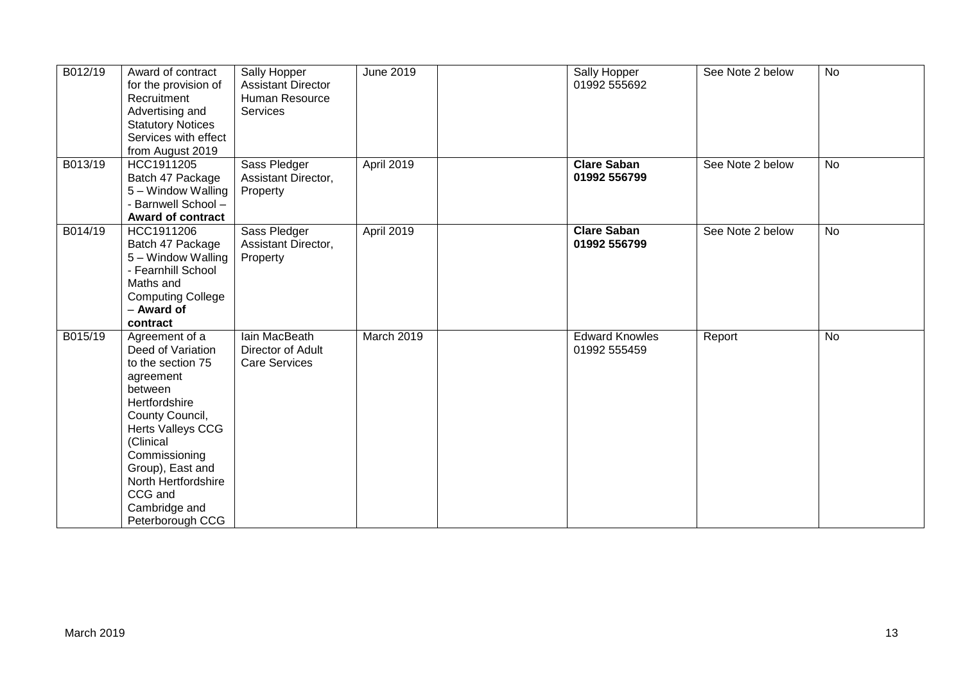| B012/19 | Award of contract<br>for the provision of<br>Recruitment<br>Advertising and<br><b>Statutory Notices</b><br>Services with effect<br>from August 2019                                                                                                                | Sally Hopper<br><b>Assistant Director</b><br>Human Resource<br>Services | June 2019  | Sally Hopper<br>01992 555692          | See Note 2 below | <b>No</b> |
|---------|--------------------------------------------------------------------------------------------------------------------------------------------------------------------------------------------------------------------------------------------------------------------|-------------------------------------------------------------------------|------------|---------------------------------------|------------------|-----------|
| B013/19 | HCC1911205<br>Batch 47 Package<br>5 - Window Walling<br>- Barnwell School -<br><b>Award of contract</b>                                                                                                                                                            | Sass Pledger<br>Assistant Director,<br>Property                         | April 2019 | <b>Clare Saban</b><br>01992 556799    | See Note 2 below | <b>No</b> |
| B014/19 | HCC1911206<br>Batch 47 Package<br>5 - Window Walling<br>- Fearnhill School<br>Maths and<br><b>Computing College</b><br>- Award of<br>contract                                                                                                                      | Sass Pledger<br>Assistant Director,<br>Property                         | April 2019 | <b>Clare Saban</b><br>01992 556799    | See Note 2 below | No        |
| B015/19 | Agreement of a<br>Deed of Variation<br>to the section 75<br>agreement<br>between<br>Hertfordshire<br>County Council,<br>Herts Valleys CCG<br>(Clinical<br>Commissioning<br>Group), East and<br>North Hertfordshire<br>CCG and<br>Cambridge and<br>Peterborough CCG | lain MacBeath<br>Director of Adult<br><b>Care Services</b>              | March 2019 | <b>Edward Knowles</b><br>01992 555459 | Report           | <b>No</b> |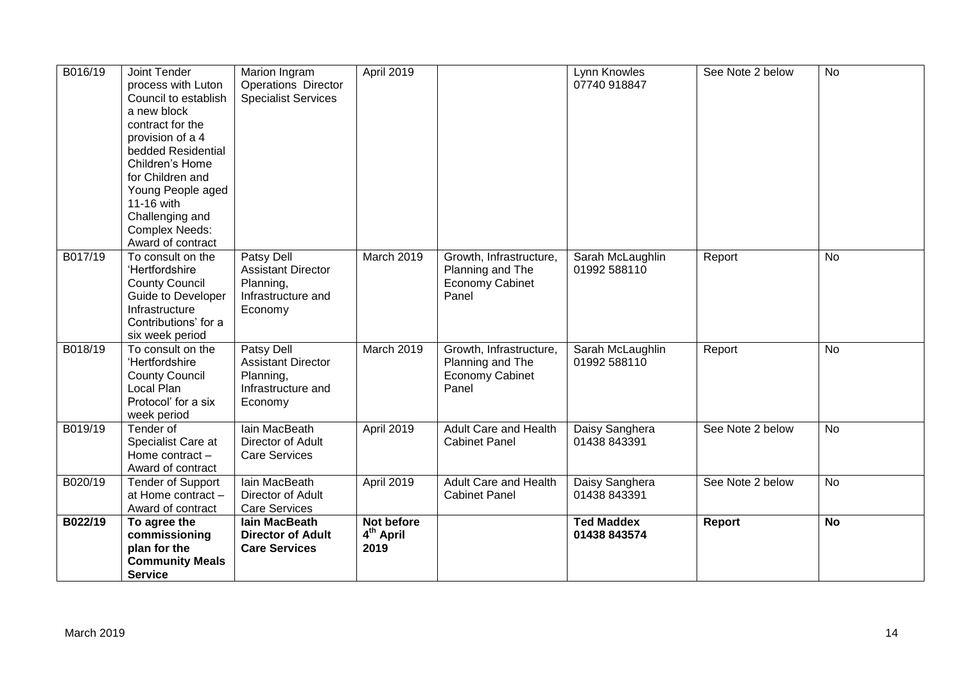| B016/19 | Joint Tender<br>process with Luton<br>Council to establish<br>a new block<br>contract for the<br>provision of a 4<br>bedded Residential<br>Children's Home<br>for Children and<br>Young People aged<br>11-16 with<br>Challenging and<br><b>Complex Needs:</b><br>Award of contract | Marion Ingram<br><b>Operations Director</b><br><b>Specialist Services</b>                    | April 2019                                  |                                                                                | Lynn Knowles<br>07740 918847      | See Note 2 below | No        |
|---------|------------------------------------------------------------------------------------------------------------------------------------------------------------------------------------------------------------------------------------------------------------------------------------|----------------------------------------------------------------------------------------------|---------------------------------------------|--------------------------------------------------------------------------------|-----------------------------------|------------------|-----------|
| B017/19 | To consult on the<br>'Hertfordshire<br><b>County Council</b><br>Guide to Developer<br>Infrastructure<br>Contributions' for a<br>six week period                                                                                                                                    | <b>Patsy Dell</b><br><b>Assistant Director</b><br>Planning,<br>Infrastructure and<br>Economy | March 2019                                  | Growth, Infrastructure,<br>Planning and The<br><b>Economy Cabinet</b><br>Panel | Sarah McLaughlin<br>01992 588110  | Report           | <b>No</b> |
| B018/19 | To consult on the<br>'Hertfordshire<br><b>County Council</b><br>Local Plan<br>Protocol' for a six<br>week period                                                                                                                                                                   | Patsy Dell<br><b>Assistant Director</b><br>Planning,<br>Infrastructure and<br>Economy        | March 2019                                  | Growth, Infrastructure,<br>Planning and The<br><b>Economy Cabinet</b><br>Panel | Sarah McLaughlin<br>01992 588110  | Report           | No        |
| B019/19 | Tender of<br>Specialist Care at<br>Home contract -<br>Award of contract                                                                                                                                                                                                            | lain MacBeath<br>Director of Adult<br><b>Care Services</b>                                   | April 2019                                  | <b>Adult Care and Health</b><br><b>Cabinet Panel</b>                           | Daisy Sanghera<br>01438 843391    | See Note 2 below | <b>No</b> |
| B020/19 | <b>Tender of Support</b><br>at Home contract -<br>Award of contract                                                                                                                                                                                                                | Iain MacBeath<br>Director of Adult<br><b>Care Services</b>                                   | April 2019                                  | <b>Adult Care and Health</b><br><b>Cabinet Panel</b>                           | Daisy Sanghera<br>01438 843391    | See Note 2 below | No        |
| B022/19 | To agree the<br>commissioning<br>plan for the<br><b>Community Meals</b><br><b>Service</b>                                                                                                                                                                                          | <b>lain MacBeath</b><br><b>Director of Adult</b><br><b>Care Services</b>                     | Not before<br>4 <sup>th</sup> April<br>2019 |                                                                                | <b>Ted Maddex</b><br>01438 843574 | Report           | <b>No</b> |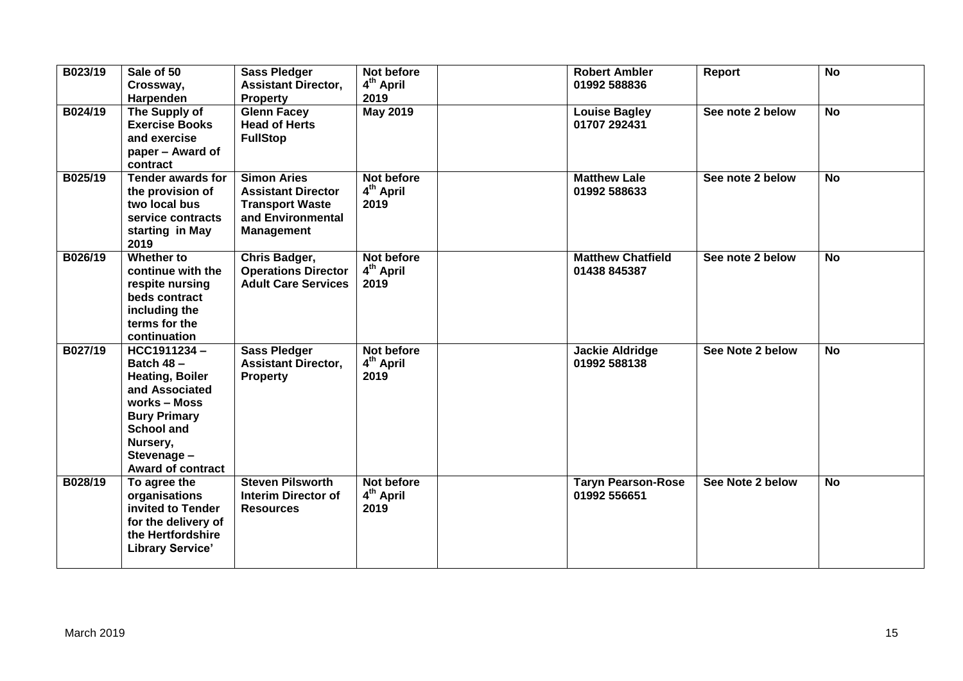| B023/19 | Sale of 50<br>Crossway,<br>Harpenden                                                                                                                                                           | <b>Sass Pledger</b><br><b>Assistant Director,</b><br><b>Property</b>                                                | Not before<br>4 <sup>th</sup> April<br>2019 | <b>Robert Ambler</b><br>01992 588836      | Report           | <b>No</b> |
|---------|------------------------------------------------------------------------------------------------------------------------------------------------------------------------------------------------|---------------------------------------------------------------------------------------------------------------------|---------------------------------------------|-------------------------------------------|------------------|-----------|
| B024/19 | The Supply of<br><b>Exercise Books</b><br>and exercise<br>paper – Award of<br>contract                                                                                                         | <b>Glenn Facey</b><br><b>Head of Herts</b><br><b>FullStop</b>                                                       | <b>May 2019</b>                             | <b>Louise Bagley</b><br>01707 292431      | See note 2 below | <b>No</b> |
| B025/19 | <b>Tender awards for</b><br>the provision of<br>two local bus<br>service contracts<br>starting in May<br>2019                                                                                  | <b>Simon Aries</b><br><b>Assistant Director</b><br><b>Transport Waste</b><br>and Environmental<br><b>Management</b> | Not before<br>4 <sup>th</sup> April<br>2019 | <b>Matthew Lale</b><br>01992 588633       | See note 2 below | <b>No</b> |
| B026/19 | Whether to<br>continue with the<br>respite nursing<br>beds contract<br>including the<br>terms for the<br>continuation                                                                          | Chris Badger,<br><b>Operations Director</b><br><b>Adult Care Services</b>                                           | Not before<br>4 <sup>th</sup> April<br>2019 | <b>Matthew Chatfield</b><br>01438 845387  | See note 2 below | <b>No</b> |
| B027/19 | HCC1911234-<br><b>Batch 48 -</b><br><b>Heating, Boiler</b><br>and Associated<br>works - Moss<br><b>Bury Primary</b><br><b>School and</b><br>Nursery,<br>Stevenage-<br><b>Award of contract</b> | <b>Sass Pledger</b><br><b>Assistant Director,</b><br><b>Property</b>                                                | Not before<br>4 <sup>th</sup> April<br>2019 | <b>Jackie Aldridge</b><br>01992 588138    | See Note 2 below | <b>No</b> |
| B028/19 | To agree the<br>organisations<br>invited to Tender<br>for the delivery of<br>the Hertfordshire<br><b>Library Service'</b>                                                                      | <b>Steven Pilsworth</b><br><b>Interim Director of</b><br><b>Resources</b>                                           | Not before<br>4 <sup>th</sup> April<br>2019 | <b>Taryn Pearson-Rose</b><br>01992 556651 | See Note 2 below | <b>No</b> |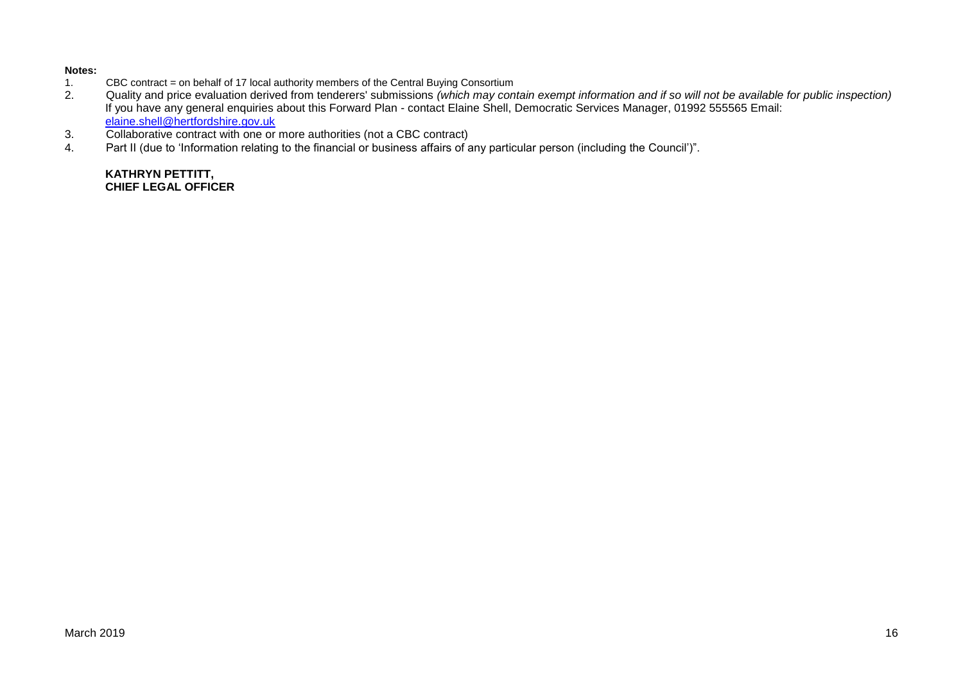#### **Notes:**

- 1. CBC contract = on behalf of 17 local authority members of the Central Buying Consortium<br>2. Cuality and price evaluation derived from tenderers' submissions (which may con
- 2. Quality and price evaluation derived from tenderers' submissions *(which may contain exempt information and if so will not be available for public inspection)* If you have any general enquiries about this Forward Plan - contact Elaine Shell, Democratic Services Manager, 01992 555565 Email: [elaine.shell@hertfordshire.gov.uk](mailto:elaine.shell@hertfordshire.gov.uk)
- 3. Collaborative contract with one or more authorities (not a CBC contract)
- 4. Part II (due to 'Information relating to the financial or business affairs of any particular person (including the Council')".

**KATHRYN PETTITT, CHIEF LEGAL OFFICER**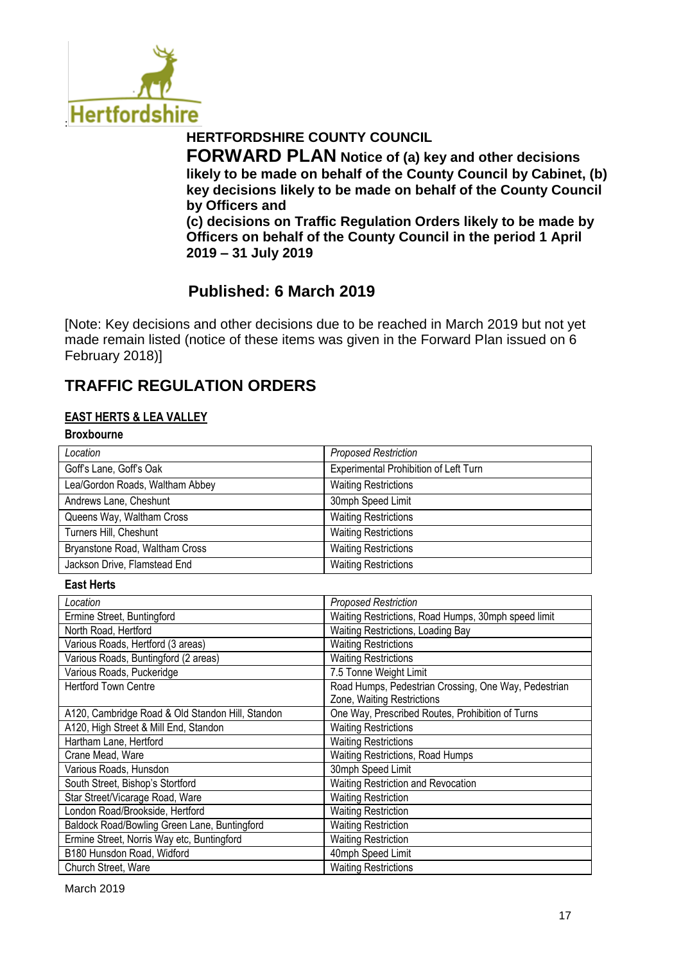

# **HERTFORDSHIRE COUNTY COUNCIL**

**FORWARD PLAN Notice of (a) key and other decisions likely to be made on behalf of the County Council by Cabinet, (b) key decisions likely to be made on behalf of the County Council by Officers and** 

**(c) decisions on Traffic Regulation Orders likely to be made by Officers on behalf of the County Council in the period 1 April 2019 – 31 July 2019**

# **Published: 6 March 2019**

[Note: Key decisions and other decisions due to be reached in March 2019 but not yet made remain listed (notice of these items was given in the Forward Plan issued on 6 February 2018)]

# **TRAFFIC REGULATION ORDERS**

### **EAST HERTS & LEA VALLEY**

#### **Broxbourne**

| ----------                      |                                       |
|---------------------------------|---------------------------------------|
| Location                        | <b>Proposed Restriction</b>           |
| Goff's Lane, Goff's Oak         | Experimental Prohibition of Left Turn |
| Lea/Gordon Roads, Waltham Abbey | <b>Waiting Restrictions</b>           |
| Andrews Lane, Cheshunt          | 30mph Speed Limit                     |
| Queens Way, Waltham Cross       | <b>Waiting Restrictions</b>           |
| Turners Hill, Cheshunt          | <b>Waiting Restrictions</b>           |
| Bryanstone Road, Waltham Cross  | <b>Waiting Restrictions</b>           |
| Jackson Drive, Flamstead End    | <b>Waiting Restrictions</b>           |
|                                 |                                       |

**East Herts**

| Location                                         | <b>Proposed Restriction</b>                          |
|--------------------------------------------------|------------------------------------------------------|
| Ermine Street, Buntingford                       | Waiting Restrictions, Road Humps, 30mph speed limit  |
| North Road, Hertford                             | Waiting Restrictions, Loading Bay                    |
| Various Roads, Hertford (3 areas)                | <b>Waiting Restrictions</b>                          |
| Various Roads, Buntingford (2 areas)             | <b>Waiting Restrictions</b>                          |
| Various Roads, Puckeridge                        | 7.5 Tonne Weight Limit                               |
| <b>Hertford Town Centre</b>                      | Road Humps, Pedestrian Crossing, One Way, Pedestrian |
|                                                  | Zone, Waiting Restrictions                           |
| A120, Cambridge Road & Old Standon Hill, Standon | One Way, Prescribed Routes, Prohibition of Turns     |
| A120, High Street & Mill End, Standon            | <b>Waiting Restrictions</b>                          |
| Hartham Lane, Hertford                           | <b>Waiting Restrictions</b>                          |
| Crane Mead, Ware                                 | Waiting Restrictions, Road Humps                     |
| Various Roads, Hunsdon                           | 30mph Speed Limit                                    |
| South Street, Bishop's Stortford                 | Waiting Restriction and Revocation                   |
| Star Street/Vicarage Road, Ware                  | <b>Waiting Restriction</b>                           |
| London Road/Brookside, Hertford                  | <b>Waiting Restriction</b>                           |
| Baldock Road/Bowling Green Lane, Buntingford     | <b>Waiting Restriction</b>                           |
| Ermine Street, Norris Way etc, Buntingford       | <b>Waiting Restriction</b>                           |
| B180 Hunsdon Road, Widford                       | 40mph Speed Limit                                    |
| Church Street, Ware                              | <b>Waiting Restrictions</b>                          |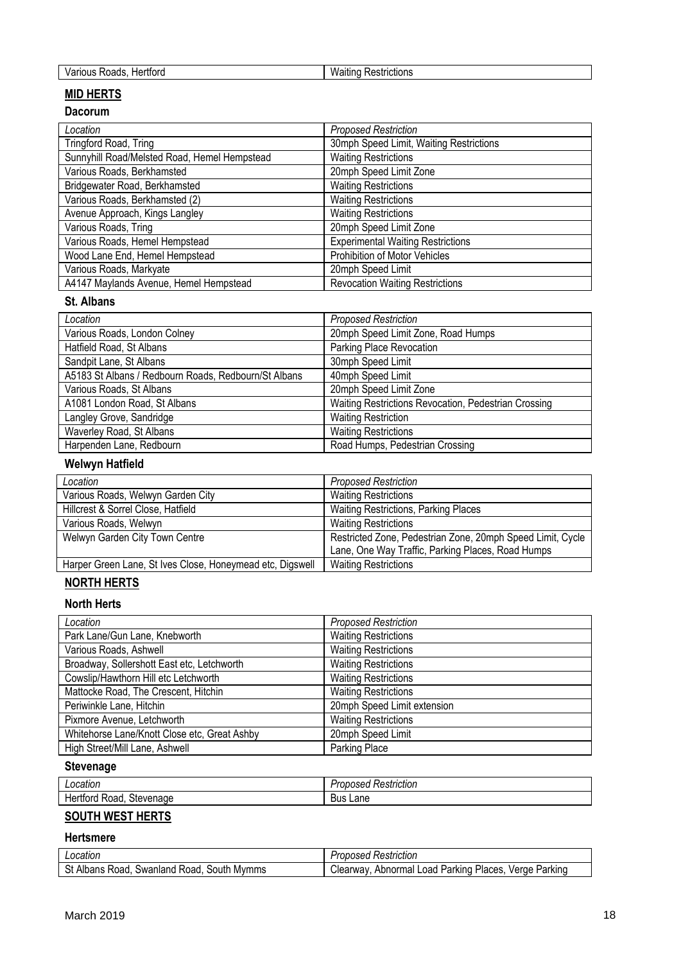| w<br>.<br>-----<br>oads<br>າມs<br>ாவ<br>אוסנוסn־<br>.<br>.<br>____ |  |
|--------------------------------------------------------------------|--|
|                                                                    |  |

#### **MID HERTS**

#### **Dacorum**

| Location                                     | <b>Proposed Restriction</b>              |
|----------------------------------------------|------------------------------------------|
| Tringford Road, Tring                        | 30mph Speed Limit, Waiting Restrictions  |
| Sunnyhill Road/Melsted Road, Hemel Hempstead | <b>Waiting Restrictions</b>              |
| Various Roads, Berkhamsted                   | 20mph Speed Limit Zone                   |
| Bridgewater Road, Berkhamsted                | <b>Waiting Restrictions</b>              |
| Various Roads, Berkhamsted (2)               | <b>Waiting Restrictions</b>              |
| Avenue Approach, Kings Langley               | <b>Waiting Restrictions</b>              |
| Various Roads, Tring                         | 20mph Speed Limit Zone                   |
| Various Roads, Hemel Hempstead               | <b>Experimental Waiting Restrictions</b> |
| Wood Lane End, Hemel Hempstead               | Prohibition of Motor Vehicles            |
| Various Roads, Markyate                      | 20mph Speed Limit                        |
| A4147 Maylands Avenue, Hemel Hempstead       | <b>Revocation Waiting Restrictions</b>   |

#### **St. Albans**

| Location                                             | <b>Proposed Restriction</b>                          |
|------------------------------------------------------|------------------------------------------------------|
| Various Roads, London Colney                         | 20mph Speed Limit Zone, Road Humps                   |
| Hatfield Road, St Albans                             | Parking Place Revocation                             |
| Sandpit Lane, St Albans                              | 30mph Speed Limit                                    |
| A5183 St Albans / Redbourn Roads, Redbourn/St Albans | 40mph Speed Limit                                    |
| Various Roads, St Albans                             | 20mph Speed Limit Zone                               |
| A1081 London Road, St Albans                         | Waiting Restrictions Revocation, Pedestrian Crossing |
| Langley Grove, Sandridge                             | <b>Waiting Restriction</b>                           |
| Waverley Road, St Albans                             | <b>Waiting Restrictions</b>                          |
| Harpenden Lane, Redbourn                             | Road Humps, Pedestrian Crossing                      |

## **Welwyn Hatfield**

| Location                                                  | <b>Proposed Restriction</b>                                |
|-----------------------------------------------------------|------------------------------------------------------------|
| Various Roads, Welwyn Garden City                         | <b>Waiting Restrictions</b>                                |
| Hillcrest & Sorrel Close, Hatfield                        | <b>Waiting Restrictions, Parking Places</b>                |
| Various Roads, Welwyn                                     | <b>Waiting Restrictions</b>                                |
| Welwyn Garden City Town Centre                            | Restricted Zone, Pedestrian Zone, 20mph Speed Limit, Cycle |
|                                                           | Lane, One Way Traffic, Parking Places, Road Humps          |
| Harper Green Lane, St Ives Close, Honeymead etc, Digswell | <b>Waiting Restrictions</b>                                |

## **NORTH HERTS**

#### **North Herts**

| Location                                     | <b>Proposed Restriction</b> |
|----------------------------------------------|-----------------------------|
| Park Lane/Gun Lane, Knebworth                | <b>Waiting Restrictions</b> |
| Various Roads, Ashwell                       | <b>Waiting Restrictions</b> |
| Broadway, Sollershott East etc, Letchworth   | <b>Waiting Restrictions</b> |
| Cowslip/Hawthorn Hill etc Letchworth         | <b>Waiting Restrictions</b> |
| Mattocke Road, The Crescent, Hitchin         | <b>Waiting Restrictions</b> |
| Periwinkle Lane, Hitchin                     | 20mph Speed Limit extension |
| Pixmore Avenue, Letchworth                   | <b>Waiting Restrictions</b> |
| Whitehorse Lane/Knott Close etc, Great Ashby | 20mph Speed Limit           |
| High Street/Mill Lane, Ashwell               | Parking Place               |

## **Stevenage**

| cation                                                     | Restriction<br>,,,,,<br>vəcu |
|------------------------------------------------------------|------------------------------|
| $\sim$<br>rever. ان<br>---<br>Road<br>enade<br>rora<br>пe∙ | ∟ane<br>.<br>ous             |

# **SOUTH WEST HERTS**

#### **Hertsmere**

| ocatic<br>allOL.                                                      | ricuor<br>טסטי "<br>ື                                                                                              |
|-----------------------------------------------------------------------|--------------------------------------------------------------------------------------------------------------------|
| Albans<br>$\sim$<br>. SOLITE<br>Mvmms<br>Swanland<br>oad<br>Roa<br>υ۱ | Parkınc<br>√erae<br><b>AMAIN</b><br>Abnorm <sup>-</sup><br>Places.<br>oad<br>Parking<br>าลเ<br>леаг<br>wav<br>. NI |